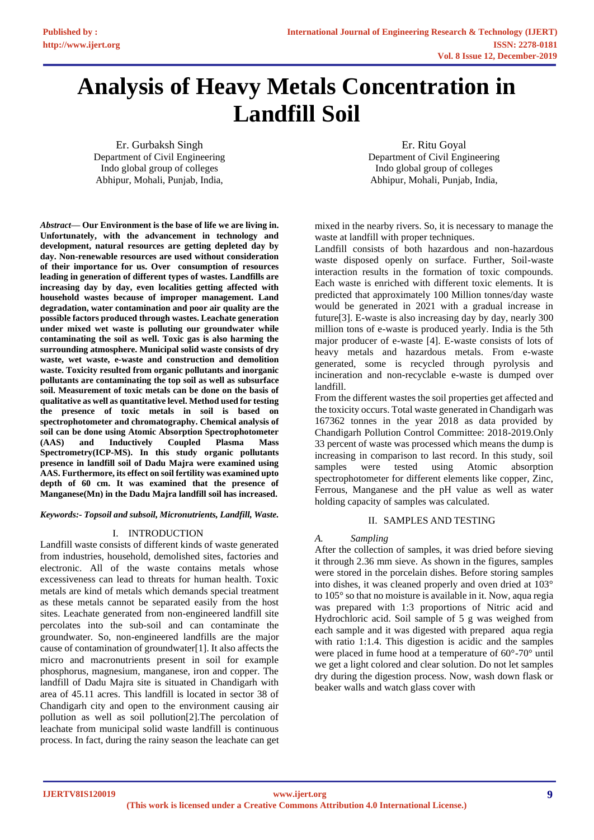# **Analysis of Heavy Metals Concentration in Landfill Soil**

Er. Gurbaksh Singh Department of Civil Engineering Indo global group of colleges Abhipur, Mohali, Punjab, India,

Er. Ritu Goyal Department of Civil Engineering Indo global group of colleges Abhipur, Mohali, Punjab, India,

*Abstract***— Our Environment is the base of life we are living in. Unfortunately, with the advancement in technology and development, natural resources are getting depleted day by day. Non-renewable resources are used without consideration of their importance for us. Over consumption of resources leading in generation of different types of wastes. Landfills are increasing day by day, even localities getting affected with household wastes because of improper management. Land degradation, water contamination and poor air quality are the possible factors produced through wastes. Leachate generation under mixed wet waste is polluting our groundwater while contaminating the soil as well. Toxic gas is also harming the surrounding atmosphere. Municipal solid waste consists of dry waste, wet waste, e-waste and construction and demolition waste. Toxicity resulted from organic pollutants and inorganic pollutants are contaminating the top soil as well as subsurface soil. Measurement of toxic metals can be done on the basis of qualitative as well as quantitative level. Method used for testing the presence of toxic metals in soil is based on spectrophotometer and chromatography. Chemical analysis of soil can be done using Atomic Absorption Spectrophotometer (AAS) and Inductively Coupled Plasma Mass Spectrometry(ICP-MS). In this study organic pollutants presence in landfill soil of Dadu Majra were examined using AAS. Furthermore, its effect on soil fertility was examined upto depth of 60 cm. It was examined that the presence of Manganese(Mn) in the Dadu Majra landfill soil has increased.** 

#### *Keywords:- Topsoil and subsoil, Micronutrients, Landfill, Waste.*

## I. INTRODUCTION

Landfill waste consists of different kinds of waste generated from industries, household, demolished sites, factories and electronic. All of the waste contains metals whose excessiveness can lead to threats for human health. Toxic metals are kind of metals which demands special treatment as these metals cannot be separated easily from the host sites. Leachate generated from non-engineered landfill site percolates into the sub-soil and can contaminate the groundwater. So, non-engineered landfills are the major cause of contamination of groundwater[1]. It also affects the micro and macronutrients present in soil for example phosphorus, magnesium, manganese, iron and copper. The landfill of Dadu Majra site is situated in Chandigarh with area of 45.11 acres. This landfill is located in sector 38 of Chandigarh city and open to the environment causing air pollution as well as soil pollution[2].The percolation of leachate from municipal solid waste landfill is continuous process. In fact, during the rainy season the leachate can get

mixed in the nearby rivers. So, it is necessary to manage the waste at landfill with proper techniques.

Landfill consists of both hazardous and non-hazardous waste disposed openly on surface. Further, Soil-waste interaction results in the formation of toxic compounds. Each waste is enriched with different toxic elements. It is predicted that approximately 100 Million tonnes/day waste would be generated in 2021 with a gradual increase in future[3]. E-waste is also increasing day by day, nearly 300 million tons of e-waste is produced yearly. India is the 5th major producer of e-waste [4]. E-waste consists of lots of heavy metals and hazardous metals. From e-waste generated, some is recycled through pyrolysis and incineration and non-recyclable e-waste is dumped over landfill.

From the different wastes the soil properties get affected and the toxicity occurs. Total waste generated in Chandigarh was 167362 tonnes in the year 2018 as data provided by Chandigarh Pollution Control Committee: 2018-2019.Only 33 percent of waste was processed which means the dump is increasing in comparison to last record. In this study, soil samples were tested using Atomic absorption spectrophotometer for different elements like copper, Zinc, Ferrous, Manganese and the pH value as well as water holding capacity of samples was calculated.

## II. SAMPLES AND TESTING

## *A. Sampling*

After the collection of samples, it was dried before sieving it through 2.36 mm sieve. As shown in the figures, samples were stored in the porcelain dishes. Before storing samples into dishes, it was cleaned properly and oven dried at 103° to 105° so that no moisture is available in it. Now, aqua regia was prepared with 1:3 proportions of Nitric acid and Hydrochloric acid. Soil sample of 5 g was weighed from each sample and it was digested with prepared aqua regia with ratio 1:1.4. This digestion is acidic and the samples were placed in fume hood at a temperature of 60°-70° until we get a light colored and clear solution. Do not let samples dry during the digestion process. Now, wash down flask or beaker walls and watch glass cover with